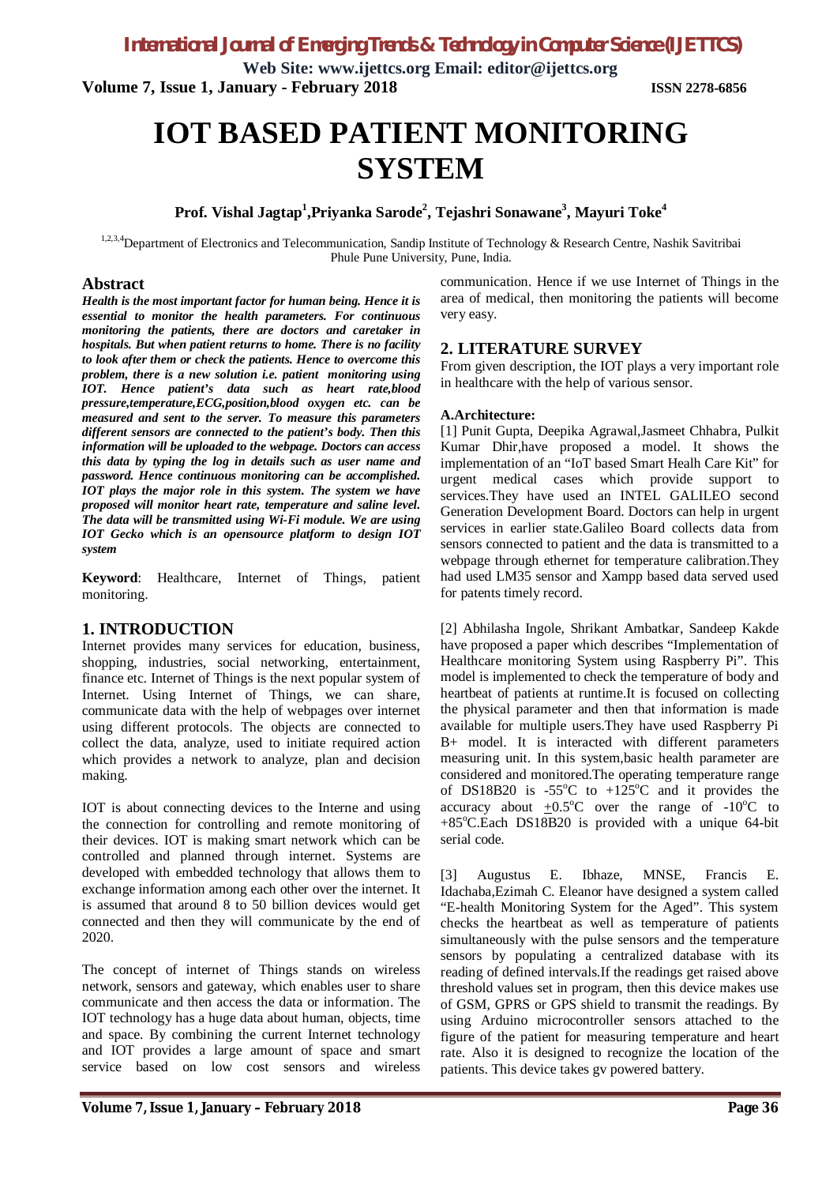**Web Site: www.ijettcs.org Email: editor@ijettcs.org Volume 7, Issue 1, January - February 2018 ISSN 2278-6856**

# **IOT BASED PATIENT MONITORING SYSTEM**

## **Prof. Vishal Jagtap<sup>1</sup> ,Priyanka Sarode<sup>2</sup> , Tejashri Sonawane<sup>3</sup> , Mayuri Toke<sup>4</sup>**

1,2,3,4 Department of Electronics and Telecommunication, Sandip Institute of Technology & Research Centre, Nashik Savitribai Phule Pune University, Pune, India.

#### **Abstract**

*Health is the most important factor for human being. Hence it is essential to monitor the health parameters. For continuous monitoring the patients, there are doctors and caretaker in hospitals. But when patient returns to home. There is no facility to look after them or check the patients. Hence to overcome this problem, there is a new solution i.e. patient monitoring using IOT. Hence patient's data such as heart rate,blood pressure,temperature,ECG,position,blood oxygen etc. can be measured and sent to the server. To measure this parameters different sensors are connected to the patient's body. Then this information will be uploaded to the webpage. Doctors can access this data by typing the log in details such as user name and password. Hence continuous monitoring can be accomplished. IOT plays the major role in this system. The system we have proposed will monitor heart rate, temperature and saline level. The data will be transmitted using Wi-Fi module. We are using IOT Gecko which is an opensource platform to design IOT system*

**Keyword**: Healthcare, Internet of Things, patient monitoring.

## **1. INTRODUCTION**

Internet provides many services for education, business, shopping, industries, social networking, entertainment, finance etc. Internet of Things is the next popular system of Internet. Using Internet of Things, we can share, communicate data with the help of webpages over internet using different protocols. The objects are connected to collect the data, analyze, used to initiate required action which provides a network to analyze, plan and decision making.

IOT is about connecting devices to the Interne and using the connection for controlling and remote monitoring of their devices. IOT is making smart network which can be controlled and planned through internet. Systems are developed with embedded technology that allows them to exchange information among each other over the internet. It is assumed that around 8 to 50 billion devices would get connected and then they will communicate by the end of 2020.

The concept of internet of Things stands on wireless network, sensors and gateway, which enables user to share communicate and then access the data or information. The IOT technology has a huge data about human, objects, time and space. By combining the current Internet technology and IOT provides a large amount of space and smart service based on low cost sensors and wireless

communication. Hence if we use Internet of Things in the area of medical, then monitoring the patients will become very easy.

## **2. LITERATURE SURVEY**

From given description, the IOT plays a very important role in healthcare with the help of various sensor.

### **A.Architecture:**

[1] Punit Gupta, Deepika Agrawal,Jasmeet Chhabra, Pulkit Kumar Dhir,have proposed a model. It shows the implementation of an "IoT based Smart Healh Care Kit" for urgent medical cases which provide support to services.They have used an INTEL GALILEO second Generation Development Board. Doctors can help in urgent services in earlier state.Galileo Board collects data from sensors connected to patient and the data is transmitted to a webpage through ethernet for temperature calibration.They had used LM35 sensor and Xampp based data served used for patents timely record.

[2] Abhilasha Ingole, Shrikant Ambatkar, Sandeep Kakde have proposed a paper which describes "Implementation of Healthcare monitoring System using Raspberry Pi". This model is implemented to check the temperature of body and heartbeat of patients at runtime.It is focused on collecting the physical parameter and then that information is made available for multiple users.They have used Raspberry Pi B+ model. It is interacted with different parameters measuring unit. In this system,basic health parameter are considered and monitored.The operating temperature range of DS18B20 is -55 $^{\circ}$ C to +125 $^{\circ}$ C and it provides the accuracy about  $\pm 0.5^{\circ}$ C over the range of -10<sup>o</sup>C to +85°C.Each DS18B20 is provided with a unique 64-bit serial code.

[3] Augustus E. Ibhaze, MNSE, Francis E. Idachaba,Ezimah C. Eleanor have designed a system called "E-health Monitoring System for the Aged". This system checks the heartbeat as well as temperature of patients simultaneously with the pulse sensors and the temperature sensors by populating a centralized database with its reading of defined intervals.If the readings get raised above threshold values set in program, then this device makes use of GSM, GPRS or GPS shield to transmit the readings. By using Arduino microcontroller sensors attached to the figure of the patient for measuring temperature and heart rate. Also it is designed to recognize the location of the patients. This device takes gv powered battery.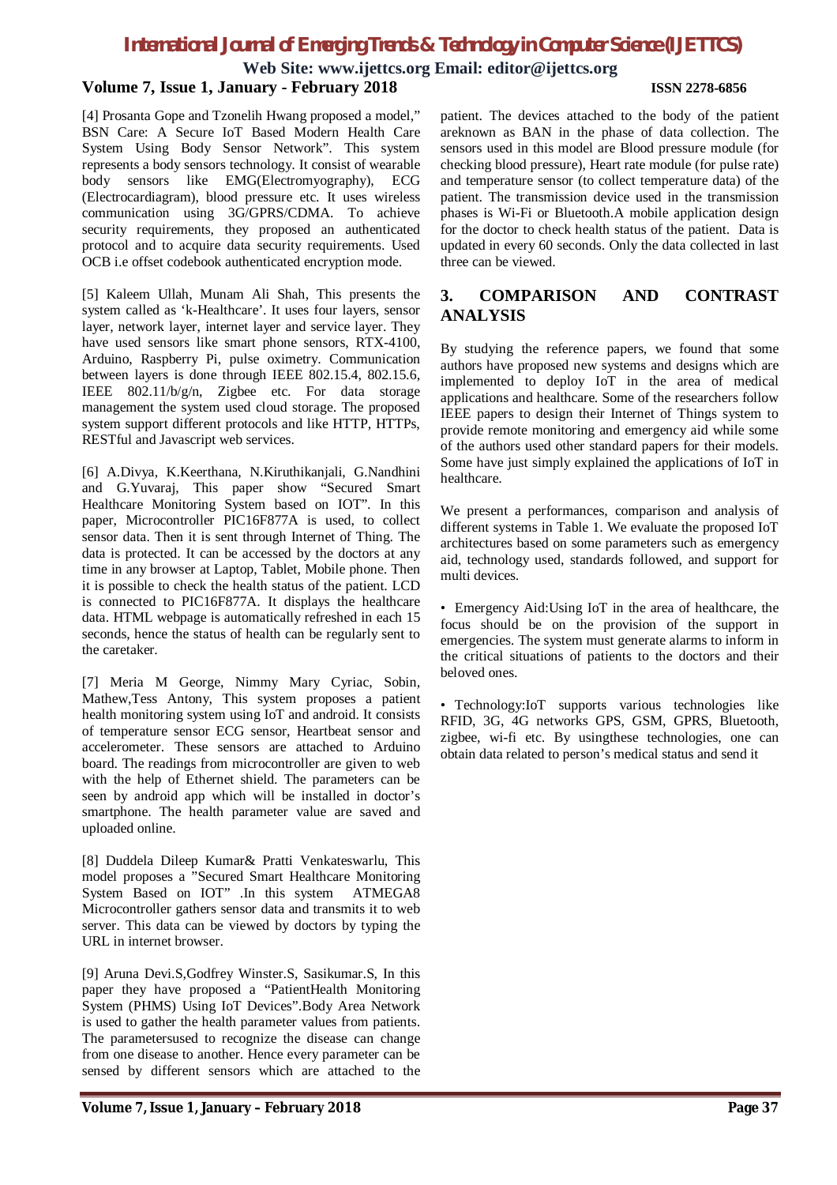**Web Site: www.ijettcs.org Email: editor@ijettcs.org Volume 7, Issue 1, January - February 2018 ISSN 2278-6856**

[4] Prosanta Gope and Tzonelih Hwang proposed a model," BSN Care: A Secure IoT Based Modern Health Care System Using Body Sensor Network". This system represents a body sensors technology. It consist of wearable body sensors like EMG(Electromyography), ECG (Electrocardiagram), blood pressure etc. It uses wireless communication using 3G/GPRS/CDMA. To achieve security requirements, they proposed an authenticated protocol and to acquire data security requirements. Used OCB i.e offset codebook authenticated encryption mode.

[5] Kaleem Ullah, Munam Ali Shah, This presents the system called as 'k-Healthcare'. It uses four layers, sensor layer, network layer, internet layer and service layer. They have used sensors like smart phone sensors, RTX-4100, Arduino, Raspberry Pi, pulse oximetry. Communication between layers is done through IEEE 802.15.4, 802.15.6, IEEE 802.11/b/g/n, Zigbee etc. For data storage management the system used cloud storage. The proposed system support different protocols and like HTTP, HTTPs, RESTful and Javascript web services.

[6] A.Divya, K.Keerthana, N.Kiruthikanjali, G.Nandhini and G.Yuvaraj, This paper show "Secured Smart Healthcare Monitoring System based on IOT". In this paper, Microcontroller PIC16F877A is used, to collect sensor data. Then it is sent through Internet of Thing. The data is protected. It can be accessed by the doctors at any time in any browser at Laptop, Tablet, Mobile phone. Then it is possible to check the health status of the patient. LCD is connected to PIC16F877A. It displays the healthcare data. HTML webpage is automatically refreshed in each 15 seconds, hence the status of health can be regularly sent to the caretaker.

[7] Meria M George, Nimmy Mary Cyriac, Sobin, Mathew,Tess Antony, This system proposes a patient health monitoring system using IoT and android. It consists of temperature sensor ECG sensor, Heartbeat sensor and accelerometer. These sensors are attached to Arduino board. The readings from microcontroller are given to web with the help of Ethernet shield. The parameters can be seen by android app which will be installed in doctor's smartphone. The health parameter value are saved and uploaded online.

[8] Duddela Dileep Kumar& Pratti Venkateswarlu, This model proposes a "Secured Smart Healthcare Monitoring System Based on IOT" .In this system ATMEGA8 Microcontroller gathers sensor data and transmits it to web server. This data can be viewed by doctors by typing the URL in internet browser.

[9] Aruna Devi.S,Godfrey Winster.S, Sasikumar.S, In this paper they have proposed a "PatientHealth Monitoring System (PHMS) Using IoT Devices".Body Area Network is used to gather the health parameter values from patients. The parametersused to recognize the disease can change from one disease to another. Hence every parameter can be sensed by different sensors which are attached to the

patient. The devices attached to the body of the patient areknown as BAN in the phase of data collection. The sensors used in this model are Blood pressure module (for checking blood pressure), Heart rate module (for pulse rate) and temperature sensor (to collect temperature data) of the patient. The transmission device used in the transmission phases is Wi-Fi or Bluetooth.A mobile application design for the doctor to check health status of the patient. Data is updated in every 60 seconds. Only the data collected in last three can be viewed.

## **3. COMPARISON AND CONTRAST ANALYSIS**

By studying the reference papers, we found that some authors have proposed new systems and designs which are implemented to deploy IoT in the area of medical applications and healthcare. Some of the researchers follow IEEE papers to design their Internet of Things system to provide remote monitoring and emergency aid while some of the authors used other standard papers for their models. Some have just simply explained the applications of IoT in healthcare.

We present a performances, comparison and analysis of different systems in Table 1. We evaluate the proposed IoT architectures based on some parameters such as emergency aid, technology used, standards followed, and support for multi devices.

• Emergency Aid:Using IoT in the area of healthcare, the focus should be on the provision of the support in emergencies. The system must generate alarms to inform in the critical situations of patients to the doctors and their beloved ones.

• Technology:IoT supports various technologies like RFID, 3G, 4G networks GPS, GSM, GPRS, Bluetooth, zigbee, wi-fi etc. By usingthese technologies, one can obtain data related to person's medical status and send it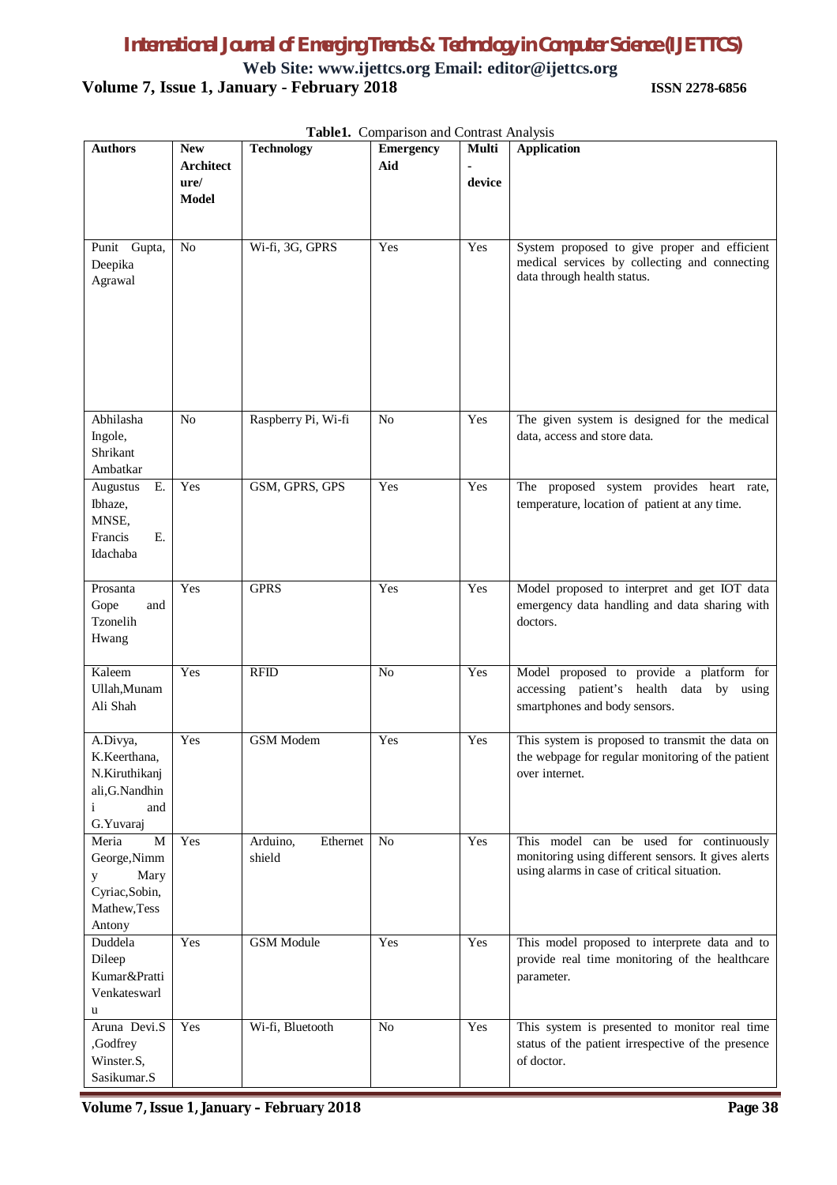**Web Site: www.ijettcs.org Email: editor@ijettcs.org Volume 7, Issue 1, January - February 2018 ISSN 2278-6856**

| <b>Authors</b>                                                                                   | <b>New</b><br><b>Architect</b> | <b>Technology</b>              | <b>Table1:</b> Comparison and Contrast Timarysis<br><b>Emergency</b><br>Aid | Multi  | <b>Application</b>                                                                                                                            |
|--------------------------------------------------------------------------------------------------|--------------------------------|--------------------------------|-----------------------------------------------------------------------------|--------|-----------------------------------------------------------------------------------------------------------------------------------------------|
|                                                                                                  | ure/<br><b>Model</b>           |                                |                                                                             | device |                                                                                                                                               |
| Punit Gupta,<br>Deepika<br>Agrawal                                                               | No                             | Wi-fi, 3G, GPRS                | Yes                                                                         | Yes    | System proposed to give proper and efficient<br>medical services by collecting and connecting<br>data through health status.                  |
| Abhilasha<br>Ingole,<br>Shrikant<br>Ambatkar                                                     | No                             | Raspberry Pi, Wi-fi            | N <sub>o</sub>                                                              | Yes    | The given system is designed for the medical<br>data, access and store data.                                                                  |
| E.<br>Augustus<br>Ibhaze,<br>MNSE,<br>Ε.<br>Francis<br>Idachaba                                  | Yes                            | GSM, GPRS, GPS                 | Yes                                                                         | Yes    | The proposed system provides heart rate,<br>temperature, location of patient at any time.                                                     |
| Prosanta<br>Gope<br>and<br>Tzonelih<br>Hwang                                                     | Yes                            | <b>GPRS</b>                    | Yes                                                                         | Yes    | Model proposed to interpret and get IOT data<br>emergency data handling and data sharing with<br>doctors.                                     |
| Kaleem<br>Ullah, Munam<br>Ali Shah                                                               | Yes                            | <b>RFID</b>                    | No                                                                          | Yes    | Model proposed to provide a platform for<br>accessing patient's health data by using<br>smartphones and body sensors.                         |
| A.Divya,<br>K.Keerthana,<br>N.Kiruthikanj<br>ali, G. Nandhin<br>$\mathbf{i}$<br>and<br>G.Yuvaraj | Yes                            | <b>GSM</b> Modem               | Yes                                                                         | Yes    | This system is proposed to transmit the data on<br>the webpage for regular monitoring of the patient<br>over internet.                        |
| Meria<br>M<br>George, Nimm<br>Mary<br>y<br>Cyriac, Sobin,<br>Mathew, Tess<br>Antony              | Yes                            | Arduino,<br>Ethernet<br>shield | No                                                                          | Yes    | This model can be used for continuously<br>monitoring using different sensors. It gives alerts<br>using alarms in case of critical situation. |
| Duddela<br>Dileep<br>Kumar&Pratti<br>Venkateswarl<br>u                                           | Yes                            | <b>GSM</b> Module              | Yes                                                                         | Yes    | This model proposed to interprete data and to<br>provide real time monitoring of the healthcare<br>parameter.                                 |
| Aruna Devi.S<br>,Godfrey<br>Winster.S,<br>Sasikumar.S                                            | Yes                            | Wi-fi, Bluetooth               | N <sub>o</sub>                                                              | Yes    | This system is presented to monitor real time<br>status of the patient irrespective of the presence<br>of doctor.                             |

**Table1.** Comparison and Contrast Analysis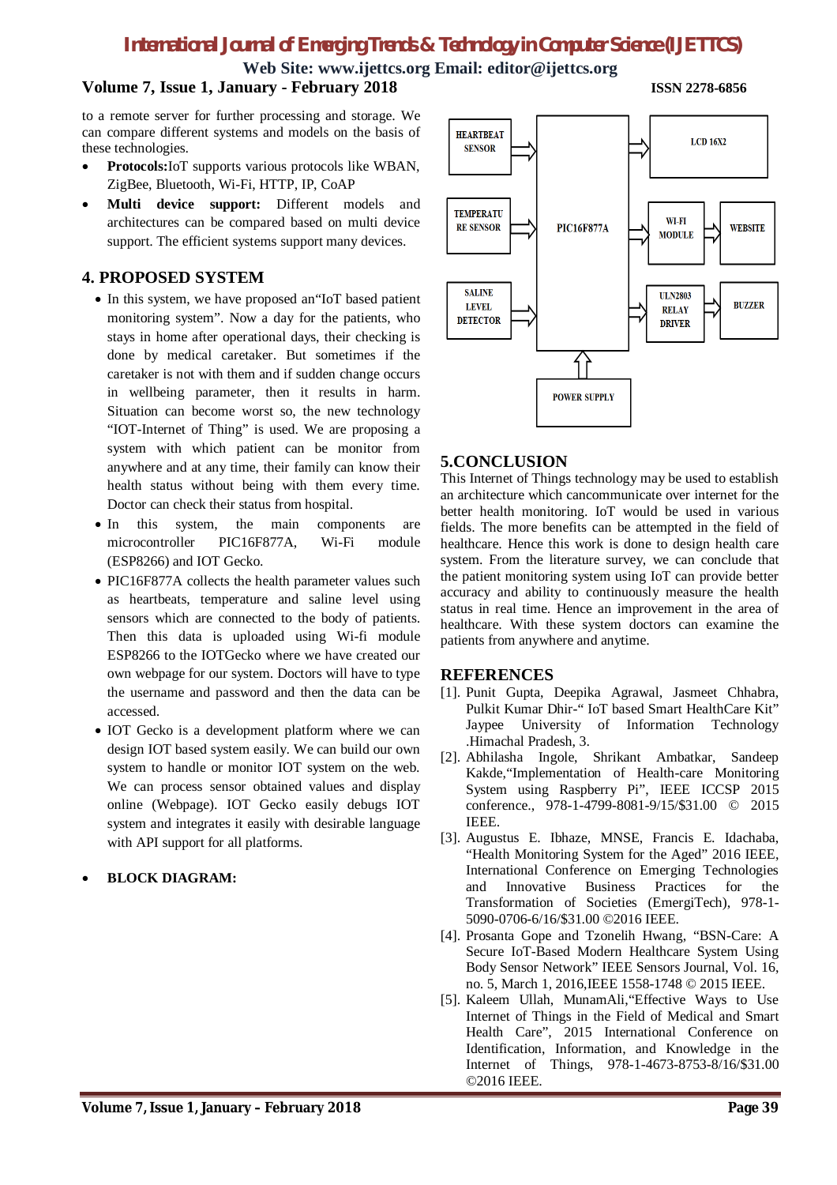**Web Site: www.ijettcs.org Email: editor@ijettcs.org**

## **Volume 7, Issue 1, January - February 2018 ISSN 2278-6856**

to a remote server for further processing and storage. We can compare different systems and models on the basis of these technologies.

- **Protocols:**IoT supports various protocols like WBAN, ZigBee, Bluetooth, Wi-Fi, HTTP, IP, CoAP
- **Multi device support:** Different models and architectures can be compared based on multi device support. The efficient systems support many devices.

## **4. PROPOSED SYSTEM**

- In this system, we have proposed an"IoT based patient monitoring system". Now a day for the patients, who stays in home after operational days, their checking is done by medical caretaker. But sometimes if the caretaker is not with them and if sudden change occurs in wellbeing parameter, then it results in harm. Situation can become worst so, the new technology "IOT-Internet of Thing" is used. We are proposing a system with which patient can be monitor from anywhere and at any time, their family can know their health status without being with them every time. Doctor can check their status from hospital.
- In this system, the main components are microcontroller PIC16F877A, Wi-Fi module (ESP8266) and IOT Gecko.
- PIC16F877A collects the health parameter values such as heartbeats, temperature and saline level using sensors which are connected to the body of patients. Then this data is uploaded using Wi-fi module ESP8266 to the IOTGecko where we have created our own webpage for our system. Doctors will have to type the username and password and then the data can be accessed.
- IOT Gecko is a development platform where we can design IOT based system easily. We can build our own system to handle or monitor IOT system on the web. We can process sensor obtained values and display online (Webpage). IOT Gecko easily debugs IOT system and integrates it easily with desirable language with API support for all platforms.

## **BLOCK DIAGRAM:**



## **5.CONCLUSION**

This Internet of Things technology may be used to establish an architecture which cancommunicate over internet for the better health monitoring. IoT would be used in various fields. The more benefits can be attempted in the field of healthcare. Hence this work is done to design health care system. From the literature survey, we can conclude that the patient monitoring system using IoT can provide better accuracy and ability to continuously measure the health status in real time. Hence an improvement in the area of healthcare. With these system doctors can examine the patients from anywhere and anytime.

## **REFERENCES**

- [1]. Punit Gupta, Deepika Agrawal, Jasmeet Chhabra, Pulkit Kumar Dhir-" IoT based Smart HealthCare Kit" Jaypee University of Information Technology .Himachal Pradesh, 3.
- [2]. Abhilasha Ingole, Shrikant Ambatkar, Sandeep Kakde,"Implementation of Health-care Monitoring System using Raspberry Pi", IEEE ICCSP 2015 conference., 978-1-4799-8081-9/15/\$31.00 © 2015 IEEE.
- [3]. Augustus E. Ibhaze, MNSE, Francis E. Idachaba, "Health Monitoring System for the Aged" 2016 IEEE, International Conference on Emerging Technologies and Innovative Business Practices for the Transformation of Societies (EmergiTech), 978-1- 5090-0706-6/16/\$31.00 ©2016 IEEE.
- [4]. Prosanta Gope and Tzonelih Hwang, "BSN-Care: A Secure IoT-Based Modern Healthcare System Using Body Sensor Network" IEEE Sensors Journal, Vol. 16, no. 5, March 1, 2016,IEEE 1558-1748 © 2015 IEEE.
- [5]. Kaleem Ullah, MunamAli,"Effective Ways to Use Internet of Things in the Field of Medical and Smart Health Care", 2015 International Conference on Identification, Information, and Knowledge in the Internet of Things, 978-1-4673-8753-8/16/\$31.00 ©2016 IEEE.